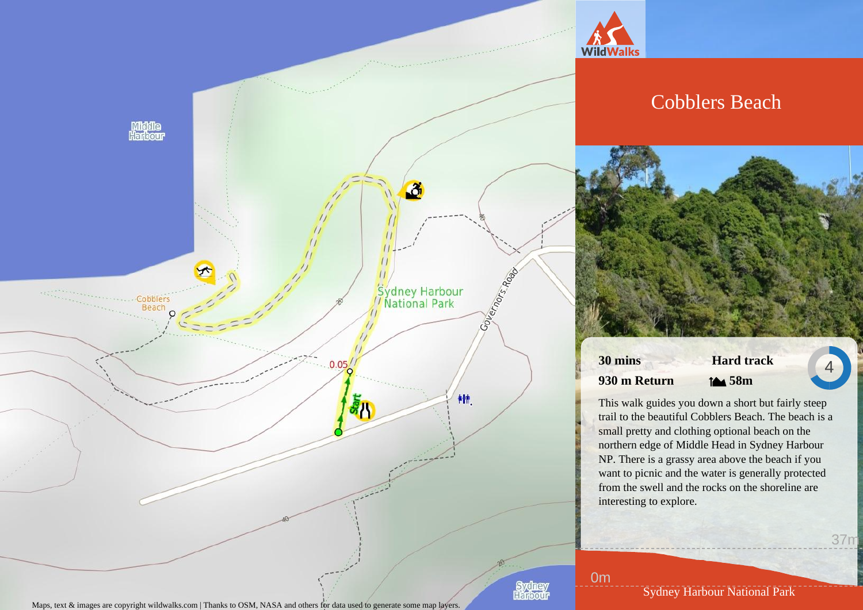

Maps, text  $\&$  images are copyright wildwalks.com | Thanks to OSM, NASA and others for data used to generate some map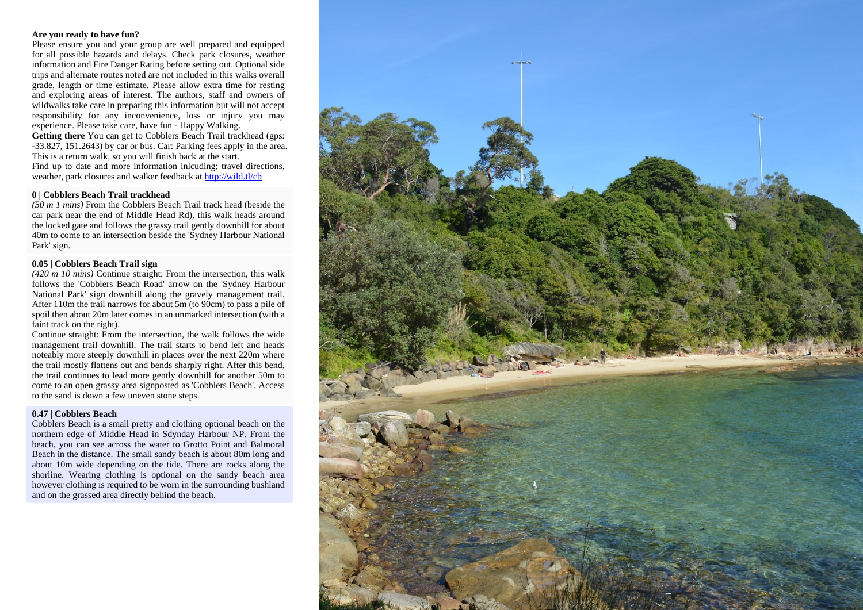#### **Are you ready to have fun?**

Please ensure you and your group are well prepared and equipped for all possible hazards and delays. Check park closures, weather information and Fire Danger Rating before setting out. Optional side trips and alternate routes noted are not included in this walks overall grade, length or time estimate. Please allow extra time for resting and exploring areas of interest. The authors, staff and owners of wildwalks take care in preparing this information but will not accept responsibility for any inconvenience, loss or injury you may experience. Please take care, have fun - Happy Walking.

**Getting there** You can get to Cobblers Beach Trail trackhead (gps: -33.827, 151.2643) by car or bus. Car: Parking fees apply in the area. This is a return walk, so you will finish back at the start. Find up to date and more information inlcuding; travel directions, weather, park closures and walker feedback at http://wild.tl/cb

#### **0 | Cobblers Beach Trail trackhead**

*(50 m 1 mins)* From the Cobblers Beach Trail track head (beside the car park near the end of Middle Head Rd), this walk heads around the locked gate and follows the grassy trail gently downhill for about 40m to come to an intersection beside the 'Sydney Harbour National Park' sign.

### **0.05 | Cobblers Beach Trail sign**

*(420 m 10 mins)* Continue straight: From the intersection, this walk follows the 'Cobblers Beach Road' arrow on the 'Sydney Harbour National Park' sign downhill along the gravely management trail. After 110m the trail narrows for about 5m (to 90cm) to pass a pile of spoil then about 20m later comes in an unmarked intersection (with a faint track on the right).

Continue straight: From the intersection, the walk follows the wide management trail downhill. The trail starts to bend left and heads noteably more steeply downhill in places over the next 220m where the trail mostly flattens out and bends sharply right. After this bend, the trail continues to lead more gently downhill for another 50m to come to an open grassy area signposted as 'Cobblers Beach'. Access to the sand is down a few uneven stone steps.

### **0.47 | Cobblers Beach**

Cobblers Beach is a small pretty and clothing optional beach on the northern edge of Middle Head in Sdynday Harbour NP. From the beach, you can see across the water to Grotto Point and Balmoral Beach in the distance. The small sandy beach is about 80m long and about 10m wide depending on the tide. There are rocks along the shorline. Wearing clothing is optional on the sandy beach area however clothing is required to be worn in the surrounding bushland and on the grassed area directly behind the beach.

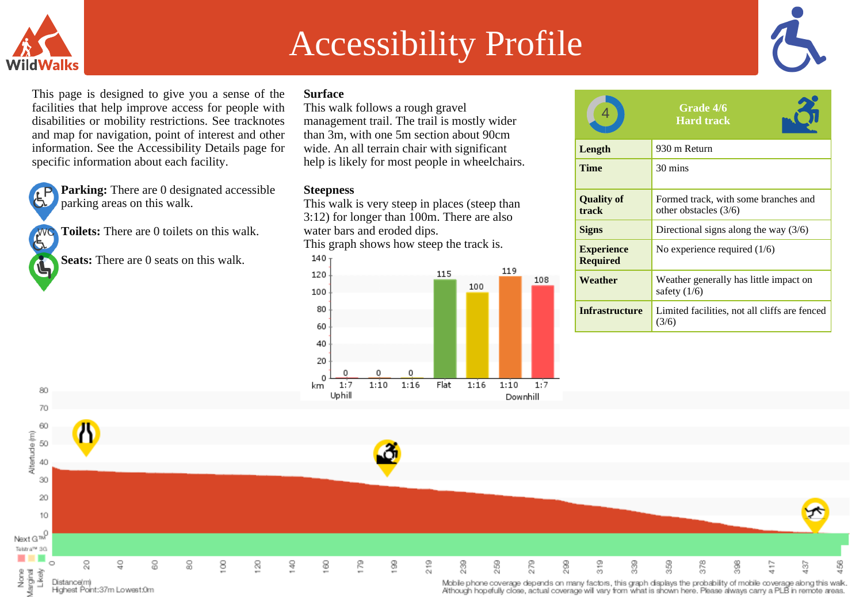

# Accessibility Profile



This page is designed to give you a sense of the facilities that help improve access for people with disabilities or mobility restrictions. See tracknotes and map for navigation, point of interest and other information. See the Accessibility Details page for specific information about each facility.

Ġ

Ġ

80

**Parking:** There are 0 designated accessible parking areas on this walk.

**Toilets:** There are 0 toilets on this walk.

**Seats:** There are 0 seats on this walk.

## **Surface**

This walk follows a rough gravel management trail. The trail is mostly wider than 3m, with one 5m section about 90cm wide. An all terrain chair with significant help is likely for most people in wheelchairs.

## **Steepness**

This walk is very steep in places (steep than 3:12) for longer than 100m. There are also water bars and eroded dips. This graph shows how steep the track is.



|                                      | <b>Grade 4/6</b><br><b>Hard track</b>                           |
|--------------------------------------|-----------------------------------------------------------------|
| Length                               | 930 m Return                                                    |
| Time                                 | 30 mins                                                         |
| <b>Quality of</b><br>track           | Formed track, with some branches and<br>other obstacles $(3/6)$ |
| <b>Signs</b>                         | Directional signs along the way $(3/6)$                         |
| <b>Experience</b><br><b>Required</b> | No experience required $(1/6)$                                  |
| Weather                              | Weather generally has little impact on<br>safety $(1/6)$        |
| <b>Infrastructure</b>                | Limited facilities, not all cliffs are fenced<br>(3/6)          |